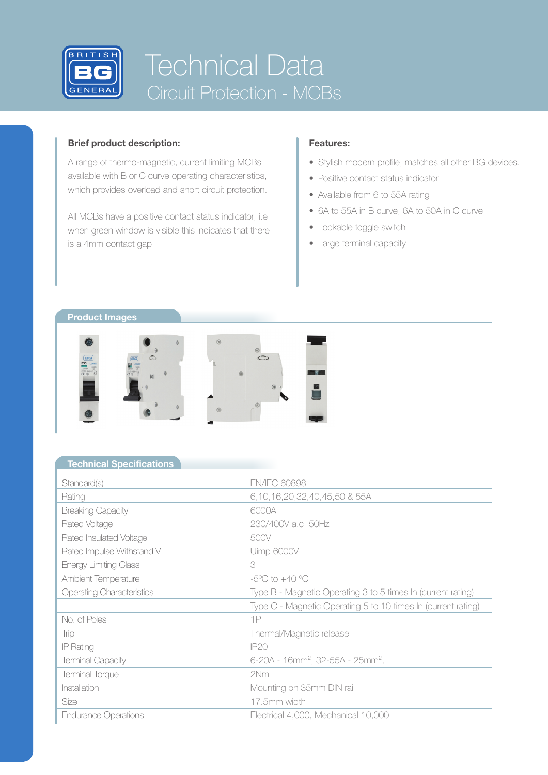

# Technical Data Circuit Protection - MCBs

## **Brief product description:**

A range of thermo-magnetic, current limiting MCBs available with B or C curve operating characteristics, which provides overload and short circuit protection.

All MCBs have a positive contact status indicator, i.e. when green window is visible this indicates that there is a 4mm contact gap.

# **Features:**

- Stylish modern profile, matches all other BG devices.
- Positive contact status indicator
- Available from 6 to 55A rating
- 6A to 55A in B curve, 6A to 50A in C curve
- Lockable toggle switch
- Large terminal capacity



### **Technical Specifications**

| Standard(s)                      | <b>EN/IEC 60898</b>                                           |
|----------------------------------|---------------------------------------------------------------|
| Rating                           | 6,10,16,20,32,40,45,50 & 55A                                  |
| <b>Breaking Capacity</b>         | 6000A                                                         |
| Rated Voltage                    | 230/400V a.c. 50Hz                                            |
| Rated Insulated Voltage          | 500V                                                          |
| Rated Impulse Withstand V        | Uimp 6000V                                                    |
| <b>Energy Limiting Class</b>     | 3                                                             |
| Ambient Temperature              | $-5^{\circ}$ C to $+40^{\circ}$ C                             |
| <b>Operating Characteristics</b> | Type B - Magnetic Operating 3 to 5 times In (current rating)  |
|                                  | Type C - Magnetic Operating 5 to 10 times In (current rating) |
| No. of Poles                     | 1P                                                            |
| Trip                             | Thermal/Magnetic release                                      |
| IP Rating                        | IP20                                                          |
| <b>Terminal Capacity</b>         | $6-20A - 16mm^2$ , 32-55A - 25mm <sup>2</sup> ,               |
| Terminal Torque                  | 2Nm                                                           |
| Installation                     | Mounting on 35mm DIN rail                                     |
| Size                             | 17.5mm width                                                  |
| <b>Endurance Operations</b>      | Electrical 4,000, Mechanical 10,000                           |